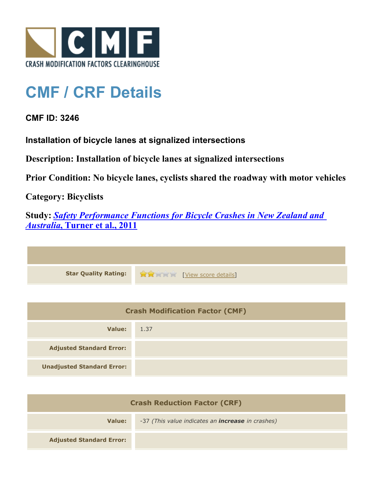

## **CMF / CRF Details**

## **CMF ID: 3246**

**Installation of bicycle lanes at signalized intersections**

**Description: Installation of bicycle lanes at signalized intersections**

**Prior Condition: No bicycle lanes, cyclists shared the roadway with motor vehicles**

**Category: Bicyclists**

**Study:** *[Safety Performance Functions for Bicycle Crashes in New Zealand and](http://www.cmfclearinghouse.org/study_detail.cfm?stid=230) [Australia](http://www.cmfclearinghouse.org/study_detail.cfm?stid=230)***[, Turner et al., 2011](http://www.cmfclearinghouse.org/study_detail.cfm?stid=230)**



| <b>Crash Modification Factor (CMF)</b> |      |
|----------------------------------------|------|
| Value:                                 | 1.37 |
| <b>Adjusted Standard Error:</b>        |      |
| <b>Unadjusted Standard Error:</b>      |      |

| <b>Crash Reduction Factor (CRF)</b> |                                                          |
|-------------------------------------|----------------------------------------------------------|
| Value:                              | -37 (This value indicates an <i>increase</i> in crashes) |
| <b>Adjusted Standard Error:</b>     |                                                          |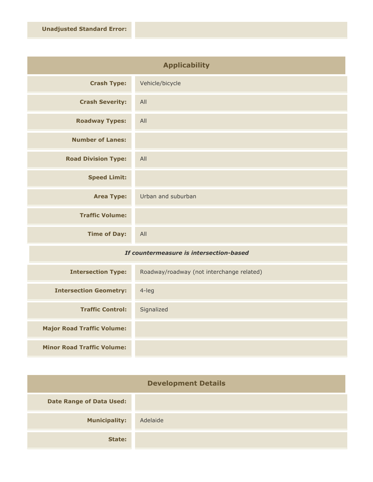| <b>Applicability</b>       |                    |
|----------------------------|--------------------|
| <b>Crash Type:</b>         | Vehicle/bicycle    |
| <b>Crash Severity:</b>     | All                |
| <b>Roadway Types:</b>      | All                |
| <b>Number of Lanes:</b>    |                    |
| <b>Road Division Type:</b> | All                |
| <b>Speed Limit:</b>        |                    |
| <b>Area Type:</b>          | Urban and suburban |
| <b>Traffic Volume:</b>     |                    |
| <b>Time of Day:</b>        | All                |

## *If countermeasure is intersection-based*

| <b>Intersection Type:</b>         | Roadway/roadway (not interchange related) |
|-----------------------------------|-------------------------------------------|
| <b>Intersection Geometry:</b>     | $4$ -leg                                  |
| <b>Traffic Control:</b>           | Signalized                                |
| <b>Major Road Traffic Volume:</b> |                                           |
| <b>Minor Road Traffic Volume:</b> |                                           |

| <b>Development Details</b>      |          |
|---------------------------------|----------|
| <b>Date Range of Data Used:</b> |          |
| <b>Municipality:</b>            | Adelaide |
| State:                          |          |